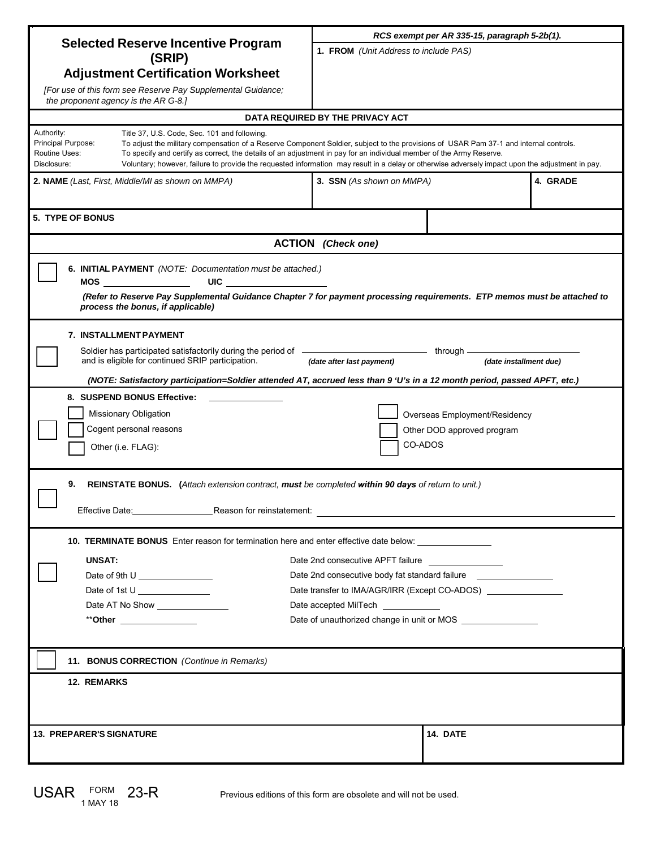| <b>Selected Reserve Incentive Program</b><br>(SRIP)                                                                                                                                                                                                                                                  | RCS exempt per AR 335-15, paragraph 5-2b(1).                                     |          |  |
|------------------------------------------------------------------------------------------------------------------------------------------------------------------------------------------------------------------------------------------------------------------------------------------------------|----------------------------------------------------------------------------------|----------|--|
|                                                                                                                                                                                                                                                                                                      | 1. FROM (Unit Address to include PAS)                                            |          |  |
| <b>Adjustment Certification Worksheet</b>                                                                                                                                                                                                                                                            |                                                                                  |          |  |
| [For use of this form see Reserve Pay Supplemental Guidance;                                                                                                                                                                                                                                         |                                                                                  |          |  |
| the proponent agency is the AR G-8.]                                                                                                                                                                                                                                                                 |                                                                                  |          |  |
| DATA REQUIRED BY THE PRIVACY ACT                                                                                                                                                                                                                                                                     |                                                                                  |          |  |
| Authority:<br>Title 37, U.S. Code, Sec. 101 and following.                                                                                                                                                                                                                                           |                                                                                  |          |  |
| Principal Purpose:<br>To adjust the military compensation of a Reserve Component Soldier, subject to the provisions of USAR Pam 37-1 and internal controls.<br>Routine Uses:<br>To specify and certify as correct, the details of an adjustment in pay for an individual member of the Army Reserve. |                                                                                  |          |  |
| Disclosure:<br>Voluntary; however, failure to provide the requested information may result in a delay or otherwise adversely impact upon the adjustment in pay.                                                                                                                                      |                                                                                  |          |  |
| 2. NAME (Last, First, Middle/MI as shown on MMPA)                                                                                                                                                                                                                                                    | 4. GRADE<br>3. SSN (As shown on MMPA)                                            |          |  |
|                                                                                                                                                                                                                                                                                                      |                                                                                  |          |  |
| <b>5. TYPE OF BONUS</b>                                                                                                                                                                                                                                                                              |                                                                                  |          |  |
| <b>ACTION</b> (Check one)                                                                                                                                                                                                                                                                            |                                                                                  |          |  |
| 6. INITIAL PAYMENT (NOTE: Documentation must be attached.)                                                                                                                                                                                                                                           |                                                                                  |          |  |
|                                                                                                                                                                                                                                                                                                      |                                                                                  |          |  |
| (Refer to Reserve Pay Supplemental Guidance Chapter 7 for payment processing requirements. ETP memos must be attached to<br>process the bonus, if applicable)                                                                                                                                        |                                                                                  |          |  |
| <b>7. INSTALLMENT PAYMENT</b>                                                                                                                                                                                                                                                                        |                                                                                  |          |  |
| Soldier has participated satisfactorily during the period of _______________________________through __                                                                                                                                                                                               |                                                                                  |          |  |
| and is eligible for continued SRIP participation.<br>(date installment due)<br>(date after last payment)                                                                                                                                                                                             |                                                                                  |          |  |
| (NOTE: Satisfactory participation=Soldier attended AT, accrued less than 9 'U's in a 12 month period, passed APFT, etc.)                                                                                                                                                                             |                                                                                  |          |  |
| 8. SUSPEND BONUS Effective:                                                                                                                                                                                                                                                                          |                                                                                  |          |  |
| Missionary Obligation<br>Overseas Employment/Residency                                                                                                                                                                                                                                               |                                                                                  |          |  |
| Cogent personal reasons<br>Other DOD approved program                                                                                                                                                                                                                                                |                                                                                  |          |  |
| CO-ADOS<br>Other (i.e. FLAG):                                                                                                                                                                                                                                                                        |                                                                                  |          |  |
|                                                                                                                                                                                                                                                                                                      |                                                                                  |          |  |
| 9.<br>REINSTATE BONUS. (Attach extension contract, must be completed within 90 days of return to unit.)                                                                                                                                                                                              |                                                                                  |          |  |
| Reason for reinstatement:<br>Effective Date: 1997                                                                                                                                                                                                                                                    |                                                                                  |          |  |
|                                                                                                                                                                                                                                                                                                      |                                                                                  |          |  |
| 10. TERMINATE BONUS Enter reason for termination here and enter effective date below:                                                                                                                                                                                                                |                                                                                  |          |  |
| <b>UNSAT:</b>                                                                                                                                                                                                                                                                                        | Date 2nd consecutive APFT failure                                                |          |  |
| Date of 9th U                                                                                                                                                                                                                                                                                        | Date 2nd consecutive body fat standard failure ______________                    |          |  |
| Date of 1st U                                                                                                                                                                                                                                                                                        | Date transfer to IMA/AGR/IRR (Except CO-ADOS) __________________________________ |          |  |
| Date AT No Show _________________                                                                                                                                                                                                                                                                    | Date accepted MilTech ___________                                                |          |  |
| **Other ________________                                                                                                                                                                                                                                                                             | Date of unauthorized change in unit or MOS ________________                      |          |  |
|                                                                                                                                                                                                                                                                                                      |                                                                                  |          |  |
| 11. BONUS CORRECTION (Continue in Remarks)                                                                                                                                                                                                                                                           |                                                                                  |          |  |
| <b>12. REMARKS</b>                                                                                                                                                                                                                                                                                   |                                                                                  |          |  |
|                                                                                                                                                                                                                                                                                                      |                                                                                  |          |  |
|                                                                                                                                                                                                                                                                                                      |                                                                                  |          |  |
| <b>13. PREPARER'S SIGNATURE</b>                                                                                                                                                                                                                                                                      |                                                                                  | 14. DATE |  |
|                                                                                                                                                                                                                                                                                                      |                                                                                  |          |  |

Previous editions of this form are obsolete and will not be used.